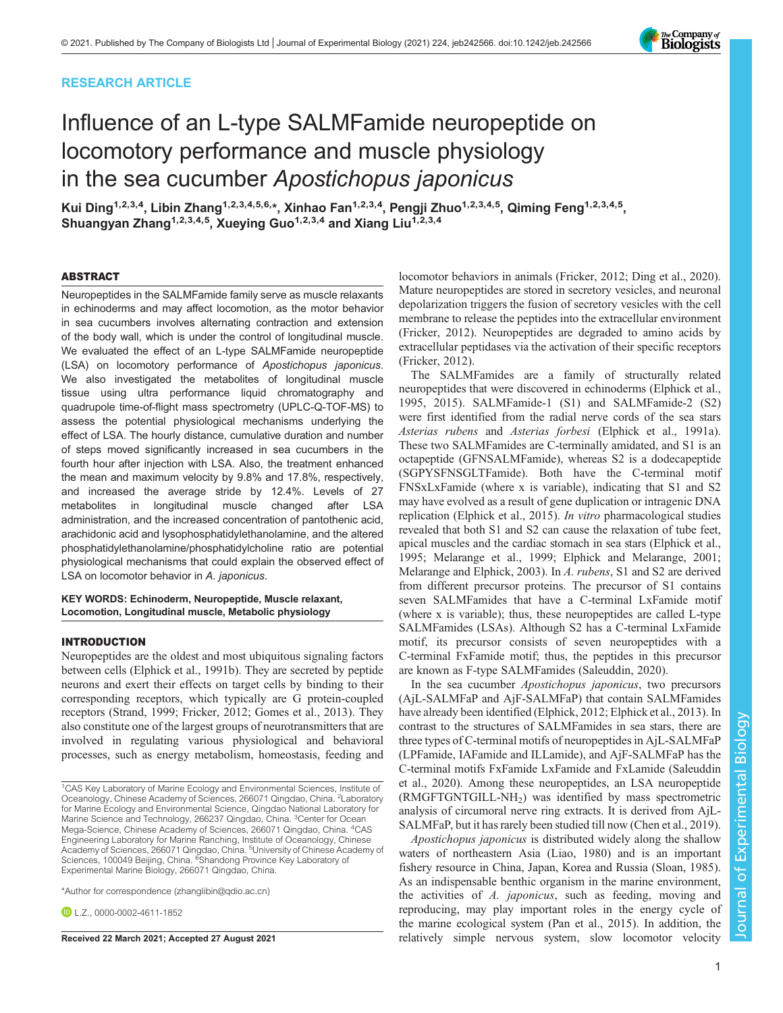# RESEARCH ARTICLE

# Influence of an L-type SALMFamide neuropeptide on locomotory performance and muscle physiology in the sea cucumber Apostichopus japonicus

Kui Ding<sup>1,2,3,4</sup>, Libin Zhang<sup>1,2,3,4,5,6,\*</sup>, Xinhao Fan<sup>1,2,3,4</sup>, Pengji Zhuo<sup>1,2,3,4,5</sup>, Qiming Feng<sup>1,2,3,4,5</sup>, Shuangyan Zhang<sup>1,2,3,4,5</sup>, Xueying Guo<sup>1,2,3,4</sup> and Xiang Liu<sup>1,2,3,4</sup>

### ABSTRACT

Neuropeptides in the SALMFamide family serve as muscle relaxants in echinoderms and may affect locomotion, as the motor behavior in sea cucumbers involves alternating contraction and extension of the body wall, which is under the control of longitudinal muscle. We evaluated the effect of an L-type SALMFamide neuropeptide (LSA) on locomotory performance of Apostichopus japonicus. We also investigated the metabolites of longitudinal muscle tissue using ultra performance liquid chromatography and quadrupole time-of-flight mass spectrometry (UPLC-Q-TOF-MS) to assess the potential physiological mechanisms underlying the effect of LSA. The hourly distance, cumulative duration and number of steps moved significantly increased in sea cucumbers in the fourth hour after injection with LSA. Also, the treatment enhanced the mean and maximum velocity by 9.8% and 17.8%, respectively, and increased the average stride by 12.4%. Levels of 27 metabolites in longitudinal muscle changed after LSA administration, and the increased concentration of pantothenic acid, arachidonic acid and lysophosphatidylethanolamine, and the altered phosphatidylethanolamine/phosphatidylcholine ratio are potential physiological mechanisms that could explain the observed effect of LSA on locomotor behavior in A. japonicus.

### KEY WORDS: Echinoderm, Neuropeptide, Muscle relaxant, Locomotion, Longitudinal muscle, Metabolic physiology

### INTRODUCTION

Neuropeptides are the oldest and most ubiquitous signaling factors between cells ([Elphick et al., 1991b\)](#page-7-0). They are secreted by peptide neurons and exert their effects on target cells by binding to their corresponding receptors, which typically are G protein-coupled receptors [\(Strand, 1999;](#page-8-0) [Fricker, 2012; Gomes et al., 2013](#page-7-0)). They also constitute one of the largest groups of neurotransmitters that are involved in regulating various physiological and behavioral processes, such as energy metabolism, homeostasis, feeding and

\*Author for correspondence [\(zhanglibin@qdio.ac.cn\)](mailto:zhanglibin@qdio.ac.cn)

 $D1$  7 [0000-0002-4611-1852](http://orcid.org/0000-0002-4611-1852)

locomotor behaviors in animals ([Fricker, 2012; Ding et al., 2020\)](#page-7-0). Mature neuropeptides are stored in secretory vesicles, and neuronal depolarization triggers the fusion of secretory vesicles with the cell membrane to release the peptides into the extracellular environment [\(Fricker, 2012\)](#page-7-0). Neuropeptides are degraded to amino acids by extracellular peptidases via the activation of their specific receptors [\(Fricker, 2012\)](#page-7-0).

The SALMFamides are a family of structurally related neuropeptides that were discovered in echinoderms [\(Elphick et al.,](#page-7-0) [1995, 2015](#page-7-0)). SALMFamide-1 (S1) and SALMFamide-2 (S2) were first identified from the radial nerve cords of the sea stars Asterias rubens and Asterias forbesi ([Elphick et al., 1991a\)](#page-7-0). These two SALMFamides are C-terminally amidated, and S1 is an octapeptide (GFNSALMFamide), whereas S2 is a dodecapeptide (SGPYSFNSGLTFamide). Both have the C-terminal motif FNSxLxFamide (where x is variable), indicating that S1 and S2 may have evolved as a result of gene duplication or intragenic DNA replication ([Elphick et al., 2015\)](#page-7-0). In vitro pharmacological studies revealed that both S1 and S2 can cause the relaxation of tube feet, apical muscles and the cardiac stomach in sea stars [\(Elphick et al.,](#page-7-0) [1995; Melarange et al., 1999; Elphick and Melarange, 2001](#page-7-0); [Melarange and Elphick, 2003](#page-7-0)). In A. rubens, S1 and S2 are derived from different precursor proteins. The precursor of S1 contains seven SALMFamides that have a C-terminal LxFamide motif (where x is variable); thus, these neuropeptides are called L-type SALMFamides (LSAs). Although S2 has a C-terminal LxFamide motif, its precursor consists of seven neuropeptides with a C-terminal FxFamide motif; thus, the peptides in this precursor are known as F-type SALMFamides ([Saleuddin, 2020](#page-7-0)).

In the sea cucumber Apostichopus japonicus, two precursors (AjL-SALMFaP and AjF-SALMFaP) that contain SALMFamides have already been identified ([Elphick, 2012](#page-7-0); [Elphick et al., 2013\)](#page-7-0). In contrast to the structures of SALMFamides in sea stars, there are three types of C-terminal motifs of neuropeptides in AjL-SALMFaP (LPFamide, IAFamide and ILLamide), and AjF-SALMFaP has the C-terminal motifs FxFamide LxFamide and FxLamide [\(Saleuddin](#page-7-0) [et al., 2020\)](#page-7-0). Among these neuropeptides, an LSA neuropeptide  $(RMGFTGNTGILL-NH<sub>2</sub>)$  was identified by mass spectrometric analysis of circumoral nerve ring extracts. It is derived from AjL-SALMFaP, but it has rarely been studied till now [\(Chen et al., 2019\)](#page-7-0).

Apostichopus japonicus is distributed widely along the shallow waters of northeastern Asia [\(Liao, 1980\)](#page-7-0) and is an important fishery resource in China, Japan, Korea and Russia ([Sloan, 1985\)](#page-8-0). As an indispensable benthic organism in the marine environment, the activities of A. japonicus, such as feeding, moving and reproducing, may play important roles in the energy cycle of the marine ecological system [\(Pan et al., 2015\)](#page-7-0). In addition, the Received 22 March 2021; Accepted 27 August 2021 relatively simple nervous system, slow locomotor velocity



<sup>&</sup>lt;sup>1</sup>CAS Key Laboratory of Marine Ecology and Environmental Sciences, Institute of Oceanology, Chinese Academy of Sciences, 266071 Qingdao, China. <sup>2</sup>Laboratory for Marine Ecology and Environmental Science, Qingdao National Laboratory for Marine Science and Technology, 266237 Qingdao, China. <sup>3</sup>Center for Ocean Mega-Science, Chinese Academy of Sciences, 266071 Qingdao, China. <sup>4</sup>CAS Engineering Laboratory for Marine Ranching, Institute of Oceanology, Chinese Academy of Sciences, 266071 Qingdao, China. <sup>5</sup>University of Chinese Academy of Sciences, 100049 Beijing, China. <sup>6</sup>Shandong Province Key Laboratory of Experimental Marine Biology, 266071 Qingdao, China.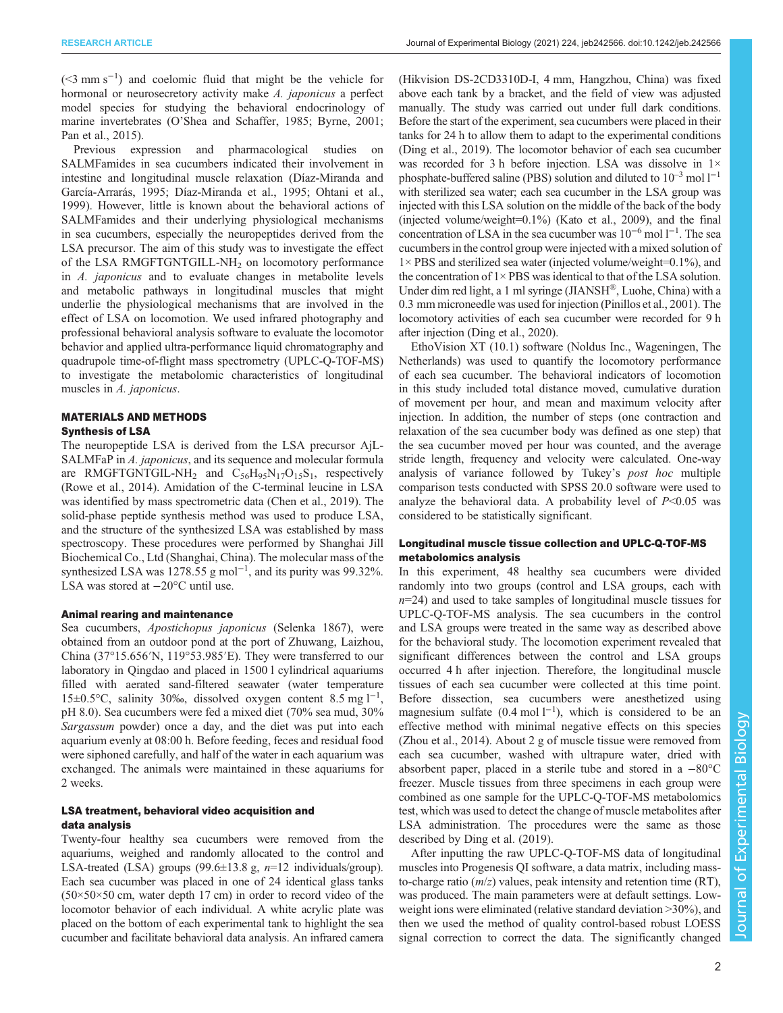(<3 mm s−<sup>1</sup> ) and coelomic fluid that might be the vehicle for hormonal or neurosecretory activity make A. japonicus a perfect model species for studying the behavioral endocrinology of marine invertebrates (O'[Shea and Schaffer, 1985; Byrne, 2001](#page-7-0); [Pan et al., 2015](#page-7-0)).

Previous expression and pharmacological studies on SALMFamides in sea cucumbers indicated their involvement in intestine and longitudinal muscle relaxation [\(Díaz-Miranda and](#page-7-0) [García-Arrarás, 1995; Díaz-Miranda et al., 1995; Ohtani et al.,](#page-7-0) [1999](#page-7-0)). However, little is known about the behavioral actions of SALMFamides and their underlying physiological mechanisms in sea cucumbers, especially the neuropeptides derived from the LSA precursor. The aim of this study was to investigate the effect of the LSA RMGFTGNTGILL-NH<sub>2</sub> on locomotory performance in A. japonicus and to evaluate changes in metabolite levels and metabolic pathways in longitudinal muscles that might underlie the physiological mechanisms that are involved in the effect of LSA on locomotion. We used infrared photography and professional behavioral analysis software to evaluate the locomotor behavior and applied ultra-performance liquid chromatography and quadrupole time-of-flight mass spectrometry (UPLC-Q-TOF-MS) to investigate the metabolomic characteristics of longitudinal muscles in A. japonicus.

### MATERIALS AND METHODS Synthesis of LSA

The neuropeptide LSA is derived from the LSA precursor AjL-SALMFaP in A. japonicus, and its sequence and molecular formula are RMGFTGNTGIL-NH<sub>2</sub> and  $C_{56}H_{95}N_{17}O_{15}S_1$ , respectively [\(Rowe et al., 2014\)](#page-7-0). Amidation of the C-terminal leucine in LSA was identified by mass spectrometric data [\(Chen et al., 2019](#page-7-0)). The solid-phase peptide synthesis method was used to produce LSA, and the structure of the synthesized LSA was established by mass spectroscopy. These procedures were performed by Shanghai Jill Biochemical Co., Ltd (Shanghai, China). The molecular mass of the synthesized LSA was 1278.55 g mol<sup>-1</sup>, and its purity was 99.32%. LSA was stored at −20°C until use.

### Animal rearing and maintenance

Sea cucumbers, Apostichopus japonicus (Selenka 1867), were obtained from an outdoor pond at the port of Zhuwang, Laizhou, China (37°15.656′N, 119°53.985′E). They were transferred to our laboratory in Qingdao and placed in 1500 l cylindrical aquariums filled with aerated sand-filtered seawater (water temperature 15±0.5°C, salinity 30‰, dissolved oxygen content 8.5 mg l−<sup>1</sup> , pH 8.0). Sea cucumbers were fed a mixed diet (70% sea mud, 30% Sargassum powder) once a day, and the diet was put into each aquarium evenly at 08:00 h. Before feeding, feces and residual food were siphoned carefully, and half of the water in each aquarium was exchanged. The animals were maintained in these aquariums for 2 weeks.

# LSA treatment, behavioral video acquisition and data analysis

Twenty-four healthy sea cucumbers were removed from the aquariums, weighed and randomly allocated to the control and LSA-treated (LSA) groups (99.6 $\pm$ 13.8 g, n=12 individuals/group). Each sea cucumber was placed in one of 24 identical glass tanks  $(50\times50\times50$  cm, water depth 17 cm) in order to record video of the locomotor behavior of each individual. A white acrylic plate was placed on the bottom of each experimental tank to highlight the sea cucumber and facilitate behavioral data analysis. An infrared camera

(Hikvision DS-2CD3310D-I, 4 mm, Hangzhou, China) was fixed above each tank by a bracket, and the field of view was adjusted manually. The study was carried out under full dark conditions. Before the start of the experiment, sea cucumbers were placed in their tanks for 24 h to allow them to adapt to the experimental conditions [\(Ding et al., 2019\)](#page-7-0). The locomotor behavior of each sea cucumber was recorded for 3 h before injection. LSA was dissolve in  $1\times$ phosphate-buffered saline (PBS) solution and diluted to  $10^{-3}$  mol  $1^{-1}$ with sterilized sea water; each sea cucumber in the LSA group was injected with this LSA solution on the middle of the back of the body (injected volume/weight=0.1%) [\(Kato et al., 2009\)](#page-7-0), and the final concentration of LSA in the sea cucumber was 10−<sup>6</sup> mol l−<sup>1</sup> . The sea cucumbers in the control group were injected with a mixed solution of 1× PBS and sterilized sea water (injected volume/weight=0.1%), and the concentration of  $1 \times PBS$  was identical to that of the LSA solution. Under dim red light, a 1 ml syringe (JIANSH®, Luohe, China) with a 0.3 mm microneedle was used for injection ([Pinillos et al., 2001](#page-7-0)). The locomotory activities of each sea cucumber were recorded for 9 h after injection ([Ding et al., 2020\)](#page-7-0).

EthoVision XT (10.1) software (Noldus Inc., Wageningen, The Netherlands) was used to quantify the locomotory performance of each sea cucumber. The behavioral indicators of locomotion in this study included total distance moved, cumulative duration of movement per hour, and mean and maximum velocity after injection. In addition, the number of steps (one contraction and relaxation of the sea cucumber body was defined as one step) that the sea cucumber moved per hour was counted, and the average stride length, frequency and velocity were calculated. One-way analysis of variance followed by Tukey's post hoc multiple comparison tests conducted with SPSS 20.0 software were used to analyze the behavioral data. A probability level of  $P<0.05$  was considered to be statistically significant.

# Longitudinal muscle tissue collection and UPLC-Q-TOF-MS metabolomics analysis

In this experiment, 48 healthy sea cucumbers were divided randomly into two groups (control and LSA groups, each with  $n=24$ ) and used to take samples of longitudinal muscle tissues for UPLC-Q-TOF-MS analysis. The sea cucumbers in the control and LSA groups were treated in the same way as described above for the behavioral study. The locomotion experiment revealed that significant differences between the control and LSA groups occurred 4 h after injection. Therefore, the longitudinal muscle tissues of each sea cucumber were collected at this time point. Before dissection, sea cucumbers were anesthetized using magnesium sulfate  $(0.4 \text{ mol } l^{-1})$ , which is considered to be an effective method with minimal negative effects on this species [\(Zhou et al., 2014\)](#page-8-0). About 2 g of muscle tissue were removed from each sea cucumber, washed with ultrapure water, dried with absorbent paper, placed in a sterile tube and stored in a −80°C freezer. Muscle tissues from three specimens in each group were combined as one sample for the UPLC-Q-TOF-MS metabolomics test, which was used to detect the change of muscle metabolites after LSA administration. The procedures were the same as those described by [Ding et al. \(2019\).](#page-7-0)

After inputting the raw UPLC-Q-TOF-MS data of longitudinal muscles into Progenesis QI software, a data matrix, including massto-charge ratio  $(m/z)$  values, peak intensity and retention time (RT), was produced. The main parameters were at default settings. Lowweight ions were eliminated (relative standard deviation >30%), and then we used the method of quality control-based robust LOESS signal correction to correct the data. The significantly changed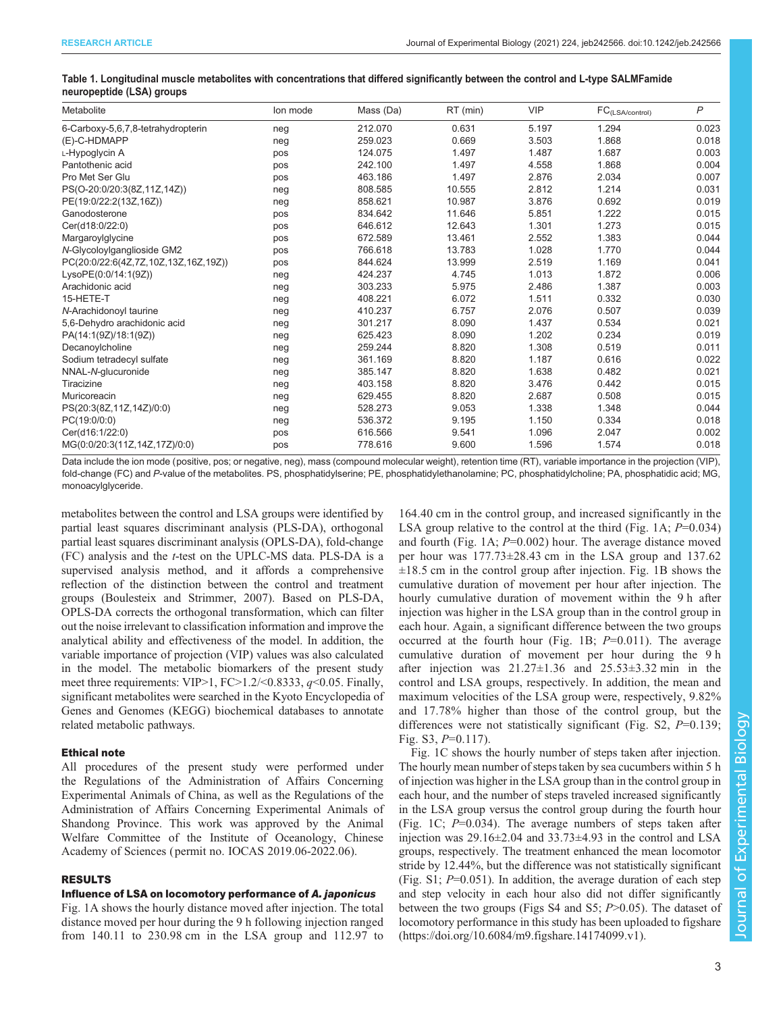<span id="page-2-0"></span>

| Table 1. Longitudinal muscle metabolites with concentrations that differed significantly between the control and L-type SALMFamide |  |  |  |  |
|------------------------------------------------------------------------------------------------------------------------------------|--|--|--|--|
| neuropeptide (LSA) groups                                                                                                          |  |  |  |  |

| Metabolite                           | lon mode | Mass (Da) | RT (min) | <b>VIP</b> | $\mathsf{FC}_{(\mathsf{LSA/control})}$ | $\mathsf{P}$ |
|--------------------------------------|----------|-----------|----------|------------|----------------------------------------|--------------|
| 6-Carboxy-5,6,7,8-tetrahydropterin   | neg      | 212.070   | 0.631    | 5.197      | 1.294                                  | 0.023        |
| (E)-C-HDMAPP                         | neg      | 259.023   | 0.669    | 3.503      | 1.868                                  | 0.018        |
| L-Hypoglycin A                       | pos      | 124.075   | 1.497    | 1.487      | 1.687                                  | 0.003        |
| Pantothenic acid                     | pos      | 242.100   | 1.497    | 4.558      | 1.868                                  | 0.004        |
| Pro Met Ser Glu                      | pos      | 463.186   | 1.497    | 2.876      | 2.034                                  | 0.007        |
| PS(O-20:0/20:3(8Z,11Z,14Z))          | neg      | 808.585   | 10.555   | 2.812      | 1.214                                  | 0.031        |
| PE(19:0/22:2(13Z,16Z))               | neg      | 858.621   | 10.987   | 3.876      | 0.692                                  | 0.019        |
| Ganodosterone                        | pos      | 834.642   | 11.646   | 5.851      | 1.222                                  | 0.015        |
| Cer(d18:0/22:0)                      | pos      | 646.612   | 12.643   | 1.301      | 1.273                                  | 0.015        |
| Margaroylglycine                     | pos      | 672.589   | 13.461   | 2.552      | 1.383                                  | 0.044        |
| N-Glycoloylganglioside GM2           | pos      | 766.618   | 13.783   | 1.028      | 1.770                                  | 0.044        |
| PC(20:0/22:6(4Z,7Z,10Z,13Z,16Z,19Z)) | pos      | 844.624   | 13.999   | 2.519      | 1.169                                  | 0.041        |
| LysoPE(0:0/14:1(9Z))                 | neg      | 424.237   | 4.745    | 1.013      | 1.872                                  | 0.006        |
| Arachidonic acid                     | neg      | 303.233   | 5.975    | 2.486      | 1.387                                  | 0.003        |
| 15-HETE-T                            | neg      | 408.221   | 6.072    | 1.511      | 0.332                                  | 0.030        |
| N-Arachidonoyl taurine               | neg      | 410.237   | 6.757    | 2.076      | 0.507                                  | 0.039        |
| 5,6-Dehydro arachidonic acid         | neg      | 301.217   | 8.090    | 1.437      | 0.534                                  | 0.021        |
| PA(14:1(9Z)/18:1(9Z))                | neg      | 625.423   | 8.090    | 1.202      | 0.234                                  | 0.019        |
| Decanoylcholine                      | neg      | 259.244   | 8.820    | 1.308      | 0.519                                  | 0.011        |
| Sodium tetradecyl sulfate            | neg      | 361.169   | 8.820    | 1.187      | 0.616                                  | 0.022        |
| NNAL-N-glucuronide                   | neg      | 385.147   | 8.820    | 1.638      | 0.482                                  | 0.021        |
| Tiracizine                           | neg      | 403.158   | 8.820    | 3.476      | 0.442                                  | 0.015        |
| Muricoreacin                         | neg      | 629.455   | 8.820    | 2.687      | 0.508                                  | 0.015        |
| PS(20:3(8Z,11Z,14Z)/0:0)             | neg      | 528.273   | 9.053    | 1.338      | 1.348                                  | 0.044        |
| PC(19:0/0:0)                         | neg      | 536.372   | 9.195    | 1.150      | 0.334                                  | 0.018        |
| Cer(d16:1/22:0)                      | pos      | 616.566   | 9.541    | 1.096      | 2.047                                  | 0.002        |
| MG(0:0/20:3(11Z,14Z,17Z)/0:0)        | pos      | 778.616   | 9.600    | 1.596      | 1.574                                  | 0.018        |

Data include the ion mode (positive, pos; or negative, neg), mass (compound molecular weight), retention time (RT), variable importance in the projection (VIP), fold-change (FC) and P-value of the metabolites. PS, phosphatidylserine; PE, phosphatidylethanolamine; PC, phosphatidylcholine; PA, phosphatidic acid; MG, monoacylglyceride.

metabolites between the control and LSA groups were identified by partial least squares discriminant analysis (PLS-DA), orthogonal partial least squares discriminant analysis (OPLS-DA), fold-change (FC) analysis and the t-test on the UPLC-MS data. PLS-DA is a supervised analysis method, and it affords a comprehensive reflection of the distinction between the control and treatment groups [\(Boulesteix and Strimmer, 2007\)](#page-7-0). Based on PLS-DA, OPLS-DA corrects the orthogonal transformation, which can filter out the noise irrelevant to classification information and improve the analytical ability and effectiveness of the model. In addition, the variable importance of projection (VIP) values was also calculated in the model. The metabolic biomarkers of the present study meet three requirements: VIP>1, FC>1.2/<0.8333, q<0.05. Finally, significant metabolites were searched in the Kyoto Encyclopedia of Genes and Genomes (KEGG) biochemical databases to annotate related metabolic pathways.

# Ethical note

All procedures of the present study were performed under the Regulations of the Administration of Affairs Concerning Experimental Animals of China, as well as the Regulations of the Administration of Affairs Concerning Experimental Animals of Shandong Province. This work was approved by the Animal Welfare Committee of the Institute of Oceanology, Chinese Academy of Sciences ( permit no. IOCAS 2019.06-2022.06).

# RESULTS

### Influence of LSA on locomotory performance of A. japonicus

[Fig. 1](#page-3-0)A shows the hourly distance moved after injection. The total distance moved per hour during the 9 h following injection ranged from 140.11 to 230.98 cm in the LSA group and 112.97 to

164.40 cm in the control group, and increased significantly in the LSA group relative to the control at the third [\(Fig. 1](#page-3-0)A;  $P=0.034$ ) and fourth ([Fig. 1A](#page-3-0);  $P=0.002$ ) hour. The average distance moved per hour was 177.73±28.43 cm in the LSA group and 137.62  $\pm 18.5$  cm in the control group after injection. [Fig. 1B](#page-3-0) shows the cumulative duration of movement per hour after injection. The hourly cumulative duration of movement within the 9 h after injection was higher in the LSA group than in the control group in each hour. Again, a significant difference between the two groups occurred at the fourth hour ([Fig. 1B](#page-3-0);  $P=0.011$ ). The average cumulative duration of movement per hour during the 9 h after injection was  $21.27 \pm 1.36$  and  $25.53 \pm 3.32$  min in the control and LSA groups, respectively. In addition, the mean and maximum velocities of the LSA group were, respectively, 9.82% and 17.78% higher than those of the control group, but the differences were not statistically significant [\(Fig. S2,](https://journals.biologists.com/jeb/article-lookup/DOI/10.1242/jeb.242566)  $P=0.139$ ; [Fig. S3](https://journals.biologists.com/jeb/article-lookup/DOI/10.1242/jeb.242566), P=0.117).

[Fig. 1](#page-3-0)C shows the hourly number of steps taken after injection. The hourly mean number of steps taken by sea cucumbers within 5 h of injection was higher in the LSA group than in the control group in each hour, and the number of steps traveled increased significantly in the LSA group versus the control group during the fourth hour [\(Fig. 1C](#page-3-0);  $P=0.034$ ). The average numbers of steps taken after injection was 29.16±2.04 and 33.73±4.93 in the control and LSA groups, respectively. The treatment enhanced the mean locomotor stride by 12.44%, but the difference was not statistically significant (Fig.  $S1$ ;  $P=0.051$ ). In addition, the average duration of each step and step velocity in each hour also did not differ significantly between the two groups [\(Figs S4 and S5](https://journals.biologists.com/jeb/article-lookup/DOI/10.1242/jeb.242566);  $P > 0.05$ ). The dataset of locomotory performance in this study has been uploaded to figshare [\(https://doi.org/10.6084/m9.figshare.14174099.v1](https://doi.org/10.6084/m9.figshare.14174099.v1)).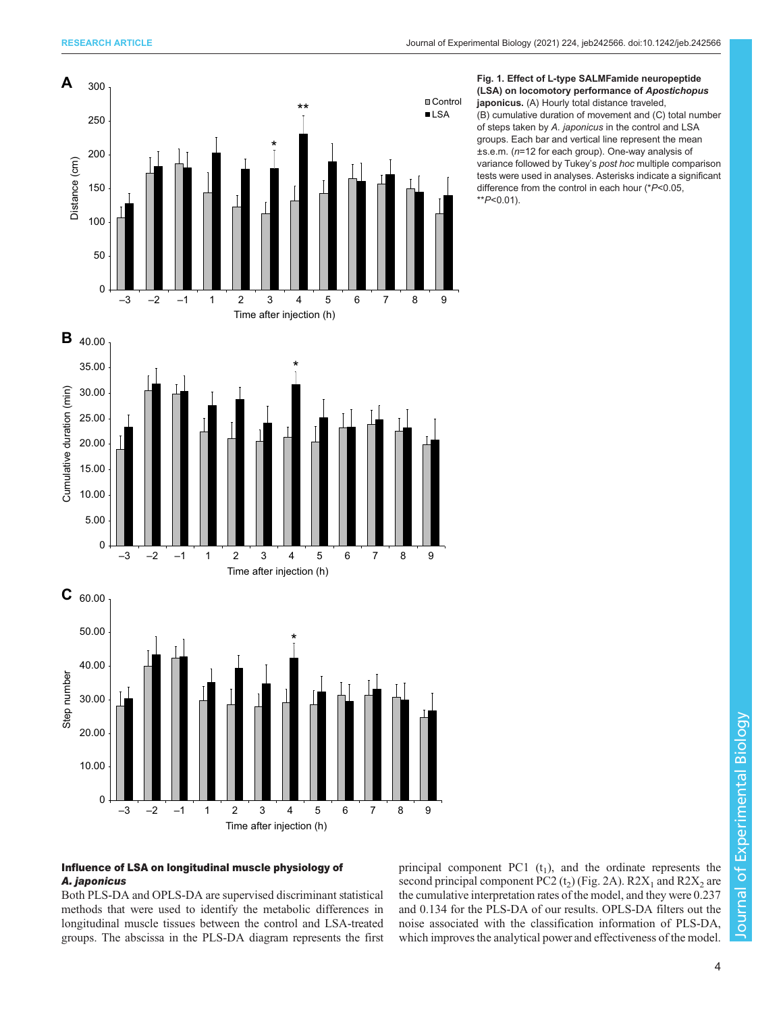<span id="page-3-0"></span>



japonicus. (A) Hourly total distance traveled, (B) cumulative duration of movement and (C) total number of steps taken by A. japonicus in the control and LSA groups. Each bar and vertical line represent the mean ±s.e.m. (n=12 for each group). One-way analysis of variance followed by Tukey's post hoc multiple comparison tests were used in analyses. Asterisks indicate a significant difference from the control in each hour (\*P<0.05,  $*$  $P< 0.01$ ).



# Influence of LSA on longitudinal muscle physiology of A. japonicus

Both PLS-DA and OPLS-DA are supervised discriminant statistical methods that were used to identify the metabolic differences in longitudinal muscle tissues between the control and LSA-treated groups. The abscissa in the PLS-DA diagram represents the first principal component PC1  $(t_1)$ , and the ordinate represents the second principal component PC2  $(t_2)$  ([Fig. 2](#page-4-0)A). R2 $X_1$  and R2 $X_2$  are the cumulative interpretation rates of the model, and they were 0.237 and 0.134 for the PLS-DA of our results. OPLS-DA filters out the noise associated with the classification information of PLS-DA, which improves the analytical power and effectiveness of the model.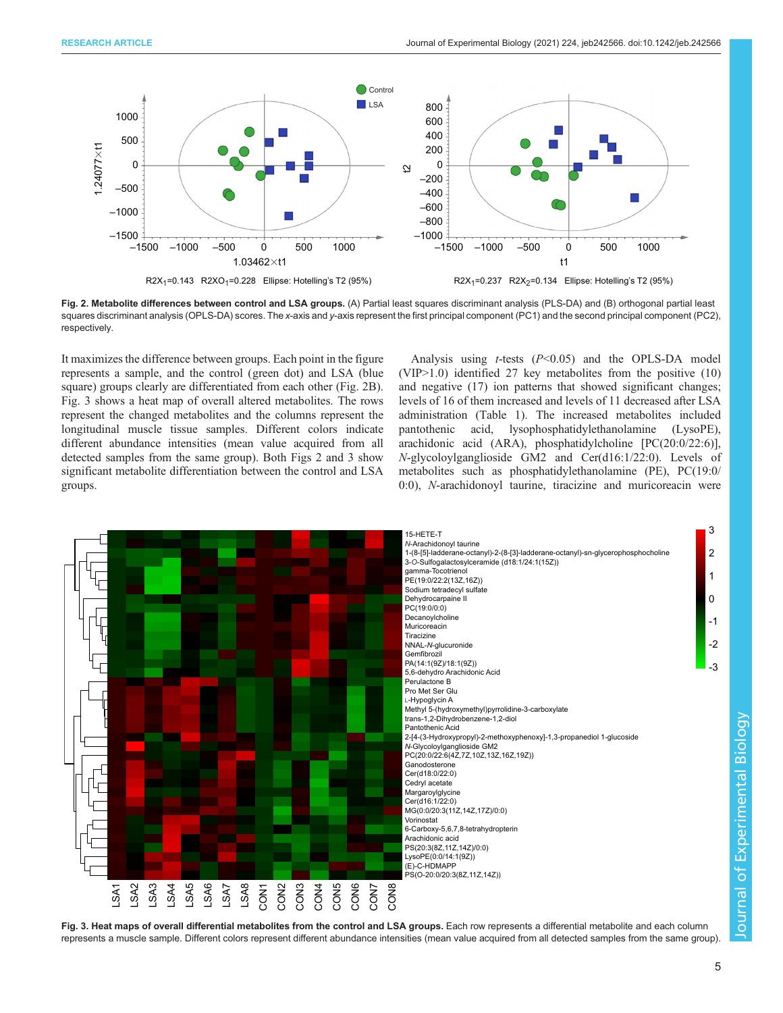<span id="page-4-0"></span>

Fig. 2. Metabolite differences between control and LSA groups. (A) Partial least squares discriminant analysis (PLS-DA) and (B) orthogonal partial least squares discriminant analysis (OPLS-DA) scores. The x-axis and y-axis represent the first principal component (PC1) and the second principal component (PC2), respectively.

It maximizes the difference between groups. Each point in the figure represents a sample, and the control (green dot) and LSA (blue square) groups clearly are differentiated from each other (Fig. 2B). Fig. 3 shows a heat map of overall altered metabolites. The rows represent the changed metabolites and the columns represent the longitudinal muscle tissue samples. Different colors indicate different abundance intensities (mean value acquired from all detected samples from the same group). Both Figs 2 and 3 show significant metabolite differentiation between the control and LSA groups.

Analysis using  $t$ -tests ( $P < 0.05$ ) and the OPLS-DA model (VIP>1.0) identified 27 key metabolites from the positive (10) and negative (17) ion patterns that showed significant changes; levels of 16 of them increased and levels of 11 decreased after LSA administration [\(Table 1](#page-2-0)). The increased metabolites included pantothenic acid, lysophosphatidylethanolamine (LysoPE), arachidonic acid (ARA), phosphatidylcholine [PC(20:0/22:6)], N-glycoloylganglioside GM2 and Cer(d16:1/22:0). Levels of metabolites such as phosphatidylethanolamine (PE), PC(19:0/ 0:0), N-arachidonoyl taurine, tiracizine and muricoreacin were



Fig. 3. Heat maps of overall differential metabolites from the control and LSA groups. Each row represents a differential metabolite and each column represents a muscle sample. Different colors represent different abundance intensities (mean value acquired from all detected samples from the same group).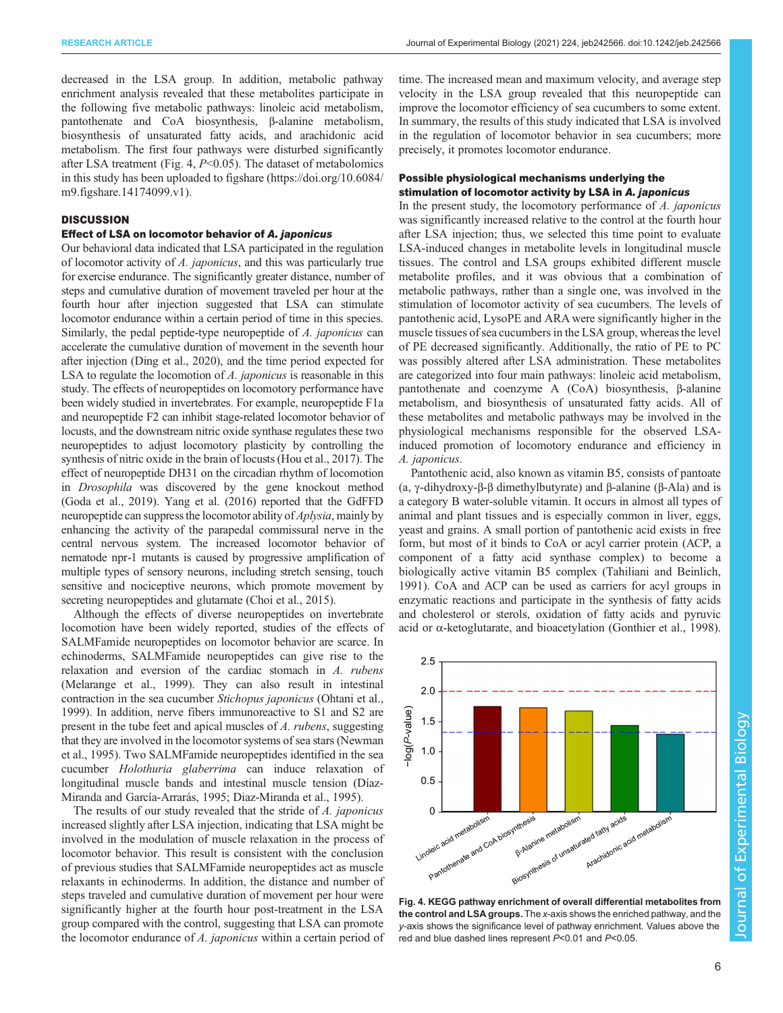decreased in the LSA group. In addition, metabolic pathway enrichment analysis revealed that these metabolites participate in the following five metabolic pathways: linoleic acid metabolism, pantothenate and CoA biosynthesis, β-alanine metabolism, biosynthesis of unsaturated fatty acids, and arachidonic acid metabolism. The first four pathways were disturbed significantly after LSA treatment (Fig. 4,  $P<0.05$ ). The dataset of metabolomics in this study has been uploaded to figshare ([https://doi.org/10.6084/](https://doi.org/10.6084/m9.figshare.14174099.v1) [m9.figshare.14174099.v1\)](https://doi.org/10.6084/m9.figshare.14174099.v1).

# **DISCUSSION**

# Effect of LSA on locomotor behavior of A. japonicus

Our behavioral data indicated that LSA participated in the regulation of locomotor activity of A. japonicus, and this was particularly true for exercise endurance. The significantly greater distance, number of steps and cumulative duration of movement traveled per hour at the fourth hour after injection suggested that LSA can stimulate locomotor endurance within a certain period of time in this species. Similarly, the pedal peptide-type neuropeptide of A. japonicus can accelerate the cumulative duration of movement in the seventh hour after injection [\(Ding et al., 2020](#page-7-0)), and the time period expected for LSA to regulate the locomotion of A. *japonicus* is reasonable in this study. The effects of neuropeptides on locomotory performance have been widely studied in invertebrates. For example, neuropeptide F1a and neuropeptide F2 can inhibit stage-related locomotor behavior of locusts, and the downstream nitric oxide synthase regulates these two neuropeptides to adjust locomotory plasticity by controlling the synthesis of nitric oxide in the brain of locusts ([Hou et al., 2017](#page-7-0)). The effect of neuropeptide DH31 on the circadian rhythm of locomotion in Drosophila was discovered by the gene knockout method [\(Goda et al., 2019](#page-7-0)). [Yang et al. \(2016\)](#page-8-0) reported that the GdFFD neuropeptide can suppress the locomotor ability of Aplysia, mainly by enhancing the activity of the parapedal commissural nerve in the central nervous system. The increased locomotor behavior of nematode npr-1 mutants is caused by progressive amplification of multiple types of sensory neurons, including stretch sensing, touch sensitive and nociceptive neurons, which promote movement by secreting neuropeptides and glutamate [\(Choi et al., 2015\)](#page-7-0).

Although the effects of diverse neuropeptides on invertebrate locomotion have been widely reported, studies of the effects of SALMFamide neuropeptides on locomotor behavior are scarce. In echinoderms, SALMFamide neuropeptides can give rise to the relaxation and eversion of the cardiac stomach in A. rubens [\(Melarange et al., 1999](#page-7-0)). They can also result in intestinal contraction in the sea cucumber Stichopus japonicus [\(Ohtani et al.,](#page-7-0) [1999\)](#page-7-0). In addition, nerve fibers immunoreactive to S1 and S2 are present in the tube feet and apical muscles of A. rubens, suggesting that they are involved in the locomotor systems of sea stars [\(Newman](#page-7-0) [et al., 1995](#page-7-0)). Two SALMFamide neuropeptides identified in the sea cucumber Holothuria glaberrima can induce relaxation of longitudinal muscle bands and intestinal muscle tension [\(Díaz-](#page-7-0)[Miranda and García-Arrarás, 1995](#page-7-0); [Diaz-Miranda et al., 1995](#page-7-0)).

The results of our study revealed that the stride of A. japonicus increased slightly after LSA injection, indicating that LSA might be involved in the modulation of muscle relaxation in the process of locomotor behavior. This result is consistent with the conclusion of previous studies that SALMFamide neuropeptides act as muscle relaxants in echinoderms. In addition, the distance and number of steps traveled and cumulative duration of movement per hour were significantly higher at the fourth hour post-treatment in the LSA group compared with the control, suggesting that LSA can promote the locomotor endurance of A. japonicus within a certain period of

time. The increased mean and maximum velocity, and average step velocity in the LSA group revealed that this neuropeptide can improve the locomotor efficiency of sea cucumbers to some extent. In summary, the results of this study indicated that LSA is involved in the regulation of locomotor behavior in sea cucumbers; more precisely, it promotes locomotor endurance.

# Possible physiological mechanisms underlying the stimulation of locomotor activity by LSA in A. japonicus

In the present study, the locomotory performance of A. japonicus was significantly increased relative to the control at the fourth hour after LSA injection; thus, we selected this time point to evaluate LSA-induced changes in metabolite levels in longitudinal muscle tissues. The control and LSA groups exhibited different muscle metabolite profiles, and it was obvious that a combination of metabolic pathways, rather than a single one, was involved in the stimulation of locomotor activity of sea cucumbers. The levels of pantothenic acid, LysoPE and ARA were significantly higher in the muscle tissues of sea cucumbers in the LSA group, whereas the level of PE decreased significantly. Additionally, the ratio of PE to PC was possibly altered after LSA administration. These metabolites are categorized into four main pathways: linoleic acid metabolism, pantothenate and coenzyme A (CoA) biosynthesis, β-alanine metabolism, and biosynthesis of unsaturated fatty acids. All of these metabolites and metabolic pathways may be involved in the physiological mechanisms responsible for the observed LSAinduced promotion of locomotory endurance and efficiency in A. japonicus.

Pantothenic acid, also known as vitamin B5, consists of pantoate (a, γ-dihydroxy-β-β dimethylbutyrate) and β-alanine (β-Ala) and is a category B water-soluble vitamin. It occurs in almost all types of animal and plant tissues and is especially common in liver, eggs, yeast and grains. A small portion of pantothenic acid exists in free form, but most of it binds to CoA or acyl carrier protein (ACP, a component of a fatty acid synthase complex) to become a biologically active vitamin B5 complex [\(Tahiliani and Beinlich,](#page-8-0) [1991\)](#page-8-0). CoA and ACP can be used as carriers for acyl groups in enzymatic reactions and participate in the synthesis of fatty acids and cholesterol or sterols, oxidation of fatty acids and pyruvic acid or α-ketoglutarate, and bioacetylation [\(Gonthier et al., 1998\)](#page-7-0).



Fig. 4. KEGG pathway enrichment of overall differential metabolites from the control and LSA groups. The x-axis shows the enriched pathway, and the y-axis shows the significance level of pathway enrichment. Values above the red and blue dashed lines represent P<0.01 and P<0.05.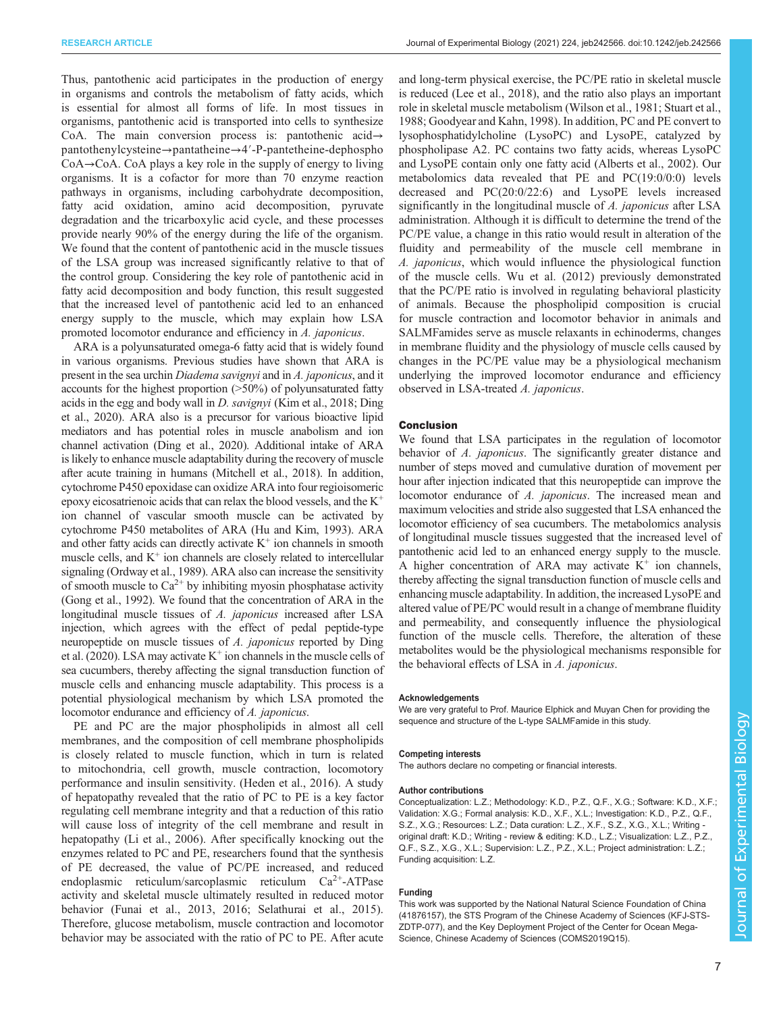Thus, pantothenic acid participates in the production of energy in organisms and controls the metabolism of fatty acids, which is essential for almost all forms of life. In most tissues in organisms, pantothenic acid is transported into cells to synthesize CoA. The main conversion process is: pantothenic acid→ pantothenylcysteine→pantatheine→4′-P-pantetheine-dephospho CoA→CoA. CoA plays a key role in the supply of energy to living organisms. It is a cofactor for more than 70 enzyme reaction pathways in organisms, including carbohydrate decomposition, fatty acid oxidation, amino acid decomposition, pyruvate degradation and the tricarboxylic acid cycle, and these processes provide nearly 90% of the energy during the life of the organism. We found that the content of pantothenic acid in the muscle tissues of the LSA group was increased significantly relative to that of the control group. Considering the key role of pantothenic acid in fatty acid decomposition and body function, this result suggested that the increased level of pantothenic acid led to an enhanced energy supply to the muscle, which may explain how LSA promoted locomotor endurance and efficiency in A. japonicus.

ARA is a polyunsaturated omega-6 fatty acid that is widely found in various organisms. Previous studies have shown that ARA is present in the sea urchin Diadema savignyi and in A. japonicus, and it accounts for the highest proportion (>50%) of polyunsaturated fatty acids in the egg and body wall in D. savignyi ([Kim et al., 2018; Ding](#page-7-0) [et al., 2020](#page-7-0)). ARA also is a precursor for various bioactive lipid mediators and has potential roles in muscle anabolism and ion channel activation [\(Ding et al., 2020\)](#page-7-0). Additional intake of ARA is likely to enhance muscle adaptability during the recovery of muscle after acute training in humans [\(Mitchell et al., 2018](#page-7-0)). In addition, cytochrome P450 epoxidase can oxidize ARA into four regioisomeric epoxy eicosatrienoic acids that can relax the blood vessels, and the  $K^+$ ion channel of vascular smooth muscle can be activated by cytochrome P450 metabolites of ARA ([Hu and Kim, 1993\)](#page-7-0). ARA and other fatty acids can directly activate  $K^+$  ion channels in smooth muscle cells, and  $K^+$  ion channels are closely related to intercellular signaling [\(Ordway et al., 1989\)](#page-7-0). ARA also can increase the sensitivity of smooth muscle to  $Ca^{2+}$  by inhibiting myosin phosphatase activity [\(Gong et al., 1992](#page-7-0)). We found that the concentration of ARA in the longitudinal muscle tissues of A. *japonicus* increased after LSA injection, which agrees with the effect of pedal peptide-type neuropeptide on muscle tissues of A. japonicus reported by [Ding](#page-7-0) [et al. \(2020\).](#page-7-0) LSA may activate  $K^+$  ion channels in the muscle cells of sea cucumbers, thereby affecting the signal transduction function of muscle cells and enhancing muscle adaptability. This process is a potential physiological mechanism by which LSA promoted the locomotor endurance and efficiency of A. japonicus.

PE and PC are the major phospholipids in almost all cell membranes, and the composition of cell membrane phospholipids is closely related to muscle function, which in turn is related to mitochondria, cell growth, muscle contraction, locomotory performance and insulin sensitivity. ([Heden et al., 2016](#page-7-0)). A study of hepatopathy revealed that the ratio of PC to PE is a key factor regulating cell membrane integrity and that a reduction of this ratio will cause loss of integrity of the cell membrane and result in hepatopathy [\(Li et al., 2006\)](#page-7-0). After specifically knocking out the enzymes related to PC and PE, researchers found that the synthesis of PE decreased, the value of PC/PE increased, and reduced endoplasmic reticulum/sarcoplasmic reticulum Ca2+-ATPase activity and skeletal muscle ultimately resulted in reduced motor behavior ([Funai et al., 2013](#page-7-0), [2016](#page-7-0); [Selathurai et al., 2015\)](#page-7-0). Therefore, glucose metabolism, muscle contraction and locomotor behavior may be associated with the ratio of PC to PE. After acute

and long-term physical exercise, the PC/PE ratio in skeletal muscle is reduced ([Lee et al., 2018\)](#page-7-0), and the ratio also plays an important role in skeletal muscle metabolism [\(Wilson et al., 1981](#page-8-0); [Stuart et al.,](#page-8-0) [1988;](#page-8-0) [Goodyear and Kahn, 1998](#page-7-0)). In addition, PC and PE convert to lysophosphatidylcholine (LysoPC) and LysoPE, catalyzed by phospholipase A2. PC contains two fatty acids, whereas LysoPC and LysoPE contain only one fatty acid [\(Alberts et al., 2002](#page-7-0)). Our metabolomics data revealed that PE and PC(19:0/0:0) levels decreased and PC(20:0/22:6) and LysoPE levels increased significantly in the longitudinal muscle of A. *japonicus* after LSA administration. Although it is difficult to determine the trend of the PC/PE value, a change in this ratio would result in alteration of the fluidity and permeability of the muscle cell membrane in A. japonicus, which would influence the physiological function of the muscle cells. [Wu et al. \(2012\)](#page-8-0) previously demonstrated that the PC/PE ratio is involved in regulating behavioral plasticity of animals. Because the phospholipid composition is crucial for muscle contraction and locomotor behavior in animals and SALMFamides serve as muscle relaxants in echinoderms, changes in membrane fluidity and the physiology of muscle cells caused by changes in the PC/PE value may be a physiological mechanism underlying the improved locomotor endurance and efficiency observed in LSA-treated A. japonicus.

### Conclusion

We found that LSA participates in the regulation of locomotor behavior of A. japonicus. The significantly greater distance and number of steps moved and cumulative duration of movement per hour after injection indicated that this neuropeptide can improve the locomotor endurance of A. *japonicus*. The increased mean and maximum velocities and stride also suggested that LSA enhanced the locomotor efficiency of sea cucumbers. The metabolomics analysis of longitudinal muscle tissues suggested that the increased level of pantothenic acid led to an enhanced energy supply to the muscle. A higher concentration of ARA may activate  $K^+$  ion channels, thereby affecting the signal transduction function of muscle cells and enhancing muscle adaptability. In addition, the increased LysoPE and altered value of PE/PC would result in a change of membrane fluidity and permeability, and consequently influence the physiological function of the muscle cells. Therefore, the alteration of these metabolites would be the physiological mechanisms responsible for the behavioral effects of LSA in A. japonicus.

#### Acknowledgements

We are very grateful to Prof. Maurice Elphick and Muyan Chen for providing the sequence and structure of the L-type SALMFamide in this study.

#### Competing interests

The authors declare no competing or financial interests.

### Author contributions

Conceptualization: L.Z.; Methodology: K.D., P.Z., Q.F., X.G.; Software: K.D., X.F.; Validation: X.G.; Formal analysis: K.D., X.F., X.L.; Investigation: K.D., P.Z., Q.F., S.Z., X.G.; Resources: L.Z.; Data curation: L.Z., X.F., S.Z., X.G., X.L.; Writing original draft: K.D.; Writing - review & editing: K.D., L.Z.; Visualization: L.Z., P.Z., Q.F., S.Z., X.G., X.L.; Supervision: L.Z., P.Z., X.L.; Project administration: L.Z.; Funding acquisition: L.Z.

### Funding

This work was supported by the National Natural Science Foundation of China (41876157), the STS Program of the Chinese Academy of Sciences (KFJ-STS-ZDTP-077), and the Key Deployment Project of the Center for Ocean Mega-Science, Chinese Academy of Sciences (COMS2019Q15).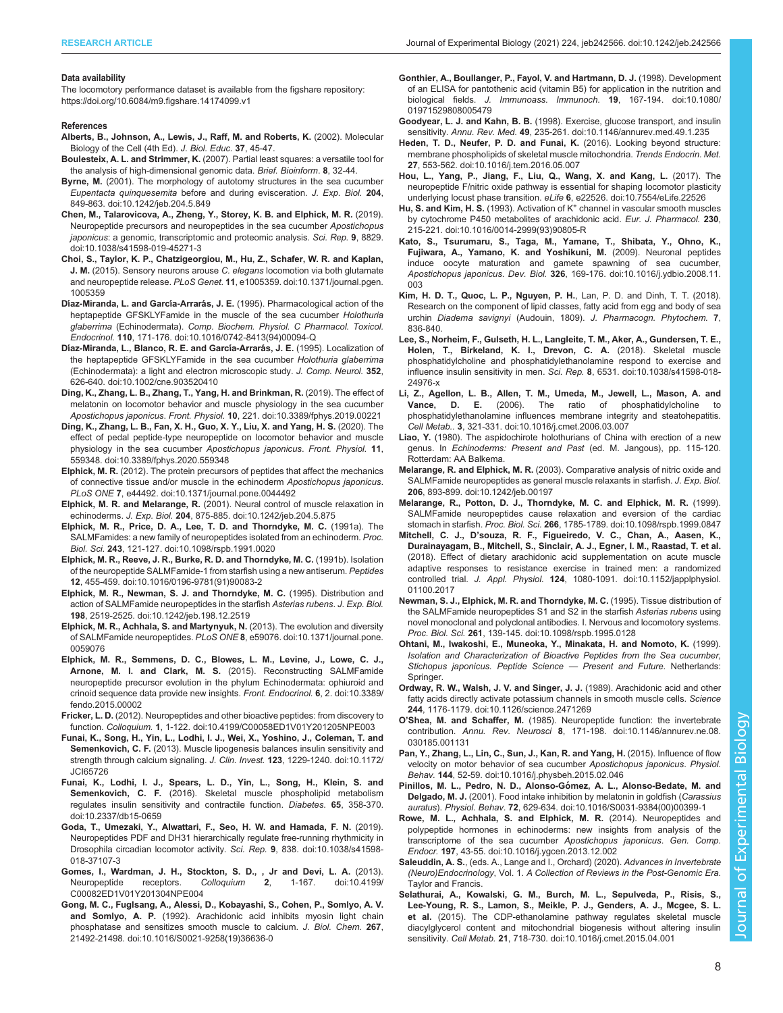### <span id="page-7-0"></span>Data availability

The locomotory performance dataset is available from the figshare repository: <https://doi.org/10.6084/m9.figshare.14174099.v1>

### References

- Alberts, B., Johnson, A., Lewis, J., Raff, M. and Roberts, K. (2002). Molecular Biology of the Cell (4th Ed). J. Biol. Educ. 37, 45-47.
- Boulesteix, A. L. and Strimmer, K. (2007). Partial least squares: a versatile tool for the analysis of high-dimensional genomic data. Brief. Bioinform. 8, 32-44.
- Byrne, M. [\(2001\). The morphology of autotomy structures in the sea cucumber](https://doi.org/10.1242/jeb.204.5.849) Eupentacta quinquesemita [before and during evisceration.](https://doi.org/10.1242/jeb.204.5.849) J. Exp. Biol. 204, [849-863. doi:10.1242/jeb.204.5.849](https://doi.org/10.1242/jeb.204.5.849)
- [Chen, M., Talarovicova, A., Zheng, Y., Storey, K. B. and Elphick, M. R.](https://doi.org/10.1038/s41598-019-45271-3) (2019). [Neuropeptide precursors and neuropeptides in the sea cucumber](https://doi.org/10.1038/s41598-019-45271-3) Apostichopus japonicus[: a genomic, transcriptomic and proteomic analysis.](https://doi.org/10.1038/s41598-019-45271-3) Sci. Rep. 9, 8829. [doi:10.1038/s41598-019-45271-3](https://doi.org/10.1038/s41598-019-45271-3)
- [Choi, S., Taylor, K. P., Chatzigeorgiou, M., Hu, Z., Schafer, W. R. and Kaplan,](https://doi.org/10.1371/journal.pgen.1005359) J. M. [\(2015\). Sensory neurons arouse](https://doi.org/10.1371/journal.pgen.1005359) C. elegans locomotion via both glutamate and neuropeptide release. PLoS Genet. 11[, e1005359. doi:10.1371/journal.pgen.](https://doi.org/10.1371/journal.pgen.1005359) [1005359](https://doi.org/10.1371/journal.pgen.1005359)
- Díaz-Miranda, L. and García-Arrarás, J. E. [\(1995\). Pharmacological action of the](https://doi.org/10.1016/0742-8413(94)00094-Q) [heptapeptide GFSKLYFamide in the muscle of the sea cucumber](https://doi.org/10.1016/0742-8413(94)00094-Q) Holothuria glaberrima (Echinodermata). [Comp. Biochem. Physiol. C Pharmacol. Toxicol.](https://doi.org/10.1016/0742-8413(94)00094-Q) Endocrinol. 110[, 171-176. doi:10.1016/0742-8413\(94\)00094-Q](https://doi.org/10.1016/0742-8413(94)00094-Q)
- Dí[az-Miranda, L., Blanco, R. E. and Garc](https://doi.org/10.1002/cne.903520410)ía-Arrarás, J. E. (1995). Localization of [the heptapeptide GFSKLYFamide in the sea cucumber](https://doi.org/10.1002/cne.903520410) Holothuria glaberrima [\(Echinodermata\): a light and electron microscopic study.](https://doi.org/10.1002/cne.903520410) J. Comp. Neurol. 352, [626-640. doi:10.1002/cne.903520410](https://doi.org/10.1002/cne.903520410)
- [Ding, K., Zhang, L. B., Zhang, T., Yang, H. and Brinkman, R.](https://doi.org/10.3389/fphys.2019.00221) (2019). The effect of [melatonin on locomotor behavior and muscle physiology in the sea cucumber](https://doi.org/10.3389/fphys.2019.00221) Apostichopus japonicus. Front. Physiol. 10[, 221. doi:10.3389/fphys.2019.00221](https://doi.org/10.3389/fphys.2019.00221)
- [Ding, K., Zhang, L. B., Fan, X. H., Guo, X. Y., Liu, X. and Yang, H. S.](https://doi.org/10.3389/fphys.2020.559348) (2020). The [effect of pedal peptide-type neuropeptide on locomotor behavior and muscle](https://doi.org/10.3389/fphys.2020.559348) [physiology in the sea cucumber](https://doi.org/10.3389/fphys.2020.559348) Apostichopus japonicus. Front. Physiol. 11, [559348. doi:10.3389/fphys.2020.559348](https://doi.org/10.3389/fphys.2020.559348)
- Elphick, M. R. [\(2012\). The protein precursors of peptides that affect the mechanics](https://doi.org/10.1371/journal.pone.0044492) [of connective tissue and/or muscle in the echinoderm](https://doi.org/10.1371/journal.pone.0044492) Apostichopus japonicus. PLoS ONE 7[, e44492. doi:10.1371/journal.pone.0044492](https://doi.org/10.1371/journal.pone.0044492)
- Elphick, M. R. and Melarange, R. [\(2001\). Neural control of muscle relaxation in](https://doi.org/10.1242/jeb.204.5.875) echinoderms. J. Exp. Biol. 204[, 875-885. doi:10.1242/jeb.204.5.875](https://doi.org/10.1242/jeb.204.5.875)
- [Elphick, M. R., Price, D. A., Lee, T. D. and Thorndyke, M. C.](https://doi.org/10.1098/rspb.1991.0020) (1991a). The [SALMFamides: a new family of neuropeptides isolated from an echinoderm.](https://doi.org/10.1098/rspb.1991.0020) Proc. Biol. Sci. 243[, 121-127. doi:10.1098/rspb.1991.0020](https://doi.org/10.1098/rspb.1991.0020)
- [Elphick, M. R., Reeve, J. R., Burke, R. D. and Thorndyke, M. C.](https://doi.org/10.1016/0196-9781(91)90083-2) (1991b). Isolation [of the neuropeptide SALMFamide-1 from starfish using a new antiserum.](https://doi.org/10.1016/0196-9781(91)90083-2) Peptides 12[, 455-459. doi:10.1016/0196-9781\(91\)90083-2](https://doi.org/10.1016/0196-9781(91)90083-2)
- [Elphick, M. R., Newman, S. J. and Thorndyke, M. C.](https://doi.org/10.1242/jeb.198.12.2519) (1995). Distribution and [action of SALMFamide neuropeptides in the starfish](https://doi.org/10.1242/jeb.198.12.2519) Asterias rubens. J. Exp. Biol. 198[, 2519-2525. doi:10.1242/jeb.198.12.2519](https://doi.org/10.1242/jeb.198.12.2519)
- [Elphick, M. R., Achhala, S. and Martynyuk, N.](https://doi.org/10.1371/journal.pone.0059076) (2013). The evolution and diversity of SALMFamide neuropeptides. PLoS ONE 8[, e59076. doi:10.1371/journal.pone.](https://doi.org/10.1371/journal.pone.0059076) [0059076](https://doi.org/10.1371/journal.pone.0059076)
- [Elphick, M. R., Semmens, D. C., Blowes, L. M., Levine, J., Lowe, C. J.,](https://doi.org/10.3389/fendo.2015.00002) Arnone, M. I. and Clark, M. S. [\(2015\). Reconstructing SALMFamide](https://doi.org/10.3389/fendo.2015.00002) [neuropeptide precursor evolution in the phylum Echinodermata: ophiuroid and](https://doi.org/10.3389/fendo.2015.00002) [crinoid sequence data provide new insights.](https://doi.org/10.3389/fendo.2015.00002) Front. Endocrinol. 6, 2. doi:10.3389/ [fendo.2015.00002](https://doi.org/10.3389/fendo.2015.00002)
- Fricker, L. D. [\(2012\). Neuropeptides and other bioactive peptides: from discovery to](https://doi.org/10.4199/C00058ED1V01Y201205NPE003) function. Colloquium. 1[, 1-122. doi:10.4199/C00058ED1V01Y201205NPE003](https://doi.org/10.4199/C00058ED1V01Y201205NPE003)
- [Funai, K., Song, H., Yin, L., Lodhi, I. J., Wei, X., Yoshino, J., Coleman, T. and](https://doi.org/10.1172/JCI65726) Semenkovich, C. F. [\(2013\). Muscle lipogenesis balances insulin sensitivity and](https://doi.org/10.1172/JCI65726) [strength through calcium signaling.](https://doi.org/10.1172/JCI65726) J. Clin. Invest. 123, 1229-1240. doi:10.1172/ [JCI65726](https://doi.org/10.1172/JCI65726)
- [Funai, K., Lodhi, I. J., Spears, L. D., Yin, L., Song, H., Klein, S. and](https://doi.org/10.2337/db15-0659) Semenkovich, C. F. [\(2016\). Skeletal muscle phospholipid metabolism](https://doi.org/10.2337/db15-0659) [regulates insulin sensitivity and contractile function.](https://doi.org/10.2337/db15-0659) Diabetes. 65, 358-370. [doi:10.2337/db15-0659](https://doi.org/10.2337/db15-0659)
- [Goda, T., Umezaki, Y., Alwattari, F., Seo, H. W. and Hamada, F. N.](https://doi.org/10.1038/s41598-018-37107-3) (2019). [Neuropeptides PDF and DH31 hierarchically regulate free-running rhythmicity in](https://doi.org/10.1038/s41598-018-37107-3) [Drosophila circadian locomotor activity.](https://doi.org/10.1038/s41598-018-37107-3) Sci. Rep. 9, 838. doi:10.1038/s41598- [018-37107-3](https://doi.org/10.1038/s41598-018-37107-3)
- [Gomes, I., Wardman, J. H., Stockton, S. D., , Jr and Devi, L. A.](https://doi.org/10.4199/C00082ED1V01Y201304NPE004) (2013). Neuropeptide receptors. Colloquium 2[, 1-167. doi:10.4199/](https://doi.org/10.4199/C00082ED1V01Y201304NPE004) [C00082ED1V01Y201304NPE004](https://doi.org/10.4199/C00082ED1V01Y201304NPE004)
- [Gong, M. C., Fuglsang, A., Alessi, D., Kobayashi, S., Cohen, P., Somlyo, A. V.](https://doi.org/10.1016/S0021-9258(19)36636-0) and Somlyo, A. P. [\(1992\). Arachidonic acid inhibits myosin light chain](https://doi.org/10.1016/S0021-9258(19)36636-0) [phosphatase and sensitizes smooth muscle to calcium.](https://doi.org/10.1016/S0021-9258(19)36636-0) J. Biol. Chem. 267, [21492-21498. doi:10.1016/S0021-9258\(19\)36636-0](https://doi.org/10.1016/S0021-9258(19)36636-0)
- [Gonthier, A., Boullanger, P., Fayol, V. and Hartmann, D. J.](https://doi.org/10.1080/01971529808005479) (1998). Development [of an ELISA for pantothenic acid \(vitamin B5\) for application in the nutrition and](https://doi.org/10.1080/01971529808005479) biological fields. [J. Immunoass. Immunoch.](https://doi.org/10.1080/01971529808005479) 19, 167-194. doi:10.1080/ [01971529808005479](https://doi.org/10.1080/01971529808005479)
- Goodyear, L. J. and Kahn, B. B. [\(1998\). Exercise, glucose transport, and insulin](https://doi.org/10.1146/annurev.med.49.1.235) sensitivity. Annu. Rev. Med. 49[, 235-261. doi:10.1146/annurev.med.49.1.235](https://doi.org/10.1146/annurev.med.49.1.235)
- [Heden, T. D., Neufer, P. D. and Funai, K.](https://doi.org/10.1016/j.tem.2016.05.007) (2016). Looking beyond structure: [membrane phospholipids of skeletal muscle mitochondria.](https://doi.org/10.1016/j.tem.2016.05.007) Trends Endocrin. Met. 27[, 553-562. doi:10.1016/j.tem.2016.05.007](https://doi.org/10.1016/j.tem.2016.05.007)
- [Hou, L., Yang, P., Jiang, F., Liu, Q., Wang, X. and Kang, L.](https://doi.org/10.7554/eLife.22526) (2017). The [neuropeptide F/nitric oxide pathway is essential for shaping locomotor plasticity](https://doi.org/10.7554/eLife.22526) underlying locust phase transition. eLife 6[, e22526. doi:10.7554/eLife.22526](https://doi.org/10.7554/eLife.22526)
- Hu, S. and Kim, H. S. (1993). Activation of  $K^+$  [channel in vascular smooth muscles](https://doi.org/10.1016/0014-2999(93)90805-R) [by cytochrome P450 metabolites of arachidonic acid.](https://doi.org/10.1016/0014-2999(93)90805-R) Eur. J. Pharmacol. 230, [215-221. doi:10.1016/0014-2999\(93\)90805-R](https://doi.org/10.1016/0014-2999(93)90805-R)
- [Kato, S., Tsurumaru, S., Taga, M., Yamane, T., Shibata, Y., Ohno, K.,](https://doi.org/10.1016/j.ydbio.2008.11.003) [Fujiwara, A., Yamano, K. and Yoshikuni, M.](https://doi.org/10.1016/j.ydbio.2008.11.003) (2009). Neuronal peptides [induce oocyte maturation and gamete spawning of sea cucumber,](https://doi.org/10.1016/j.ydbio.2008.11.003) Apostichopus japonicus. Dev. Biol. 326[, 169-176. doi:10.1016/j.ydbio.2008.11.](https://doi.org/10.1016/j.ydbio.2008.11.003) [003](https://doi.org/10.1016/j.ydbio.2008.11.003)
- Kim, H. D. T., Quoc, L. P., Nguyen, P. H., Lan, P. D. and Dinh, T. T. (2018). Research on the component of lipid classes, fatty acid from egg and body of sea urchin Diadema savignyi (Audouin, 1809). J. Pharmacogn. Phytochem. 7, 836-840.
- [Lee, S., Norheim, F., Gulseth, H. L., Langleite, T. M., Aker, A., Gundersen, T. E.,](https://doi.org/10.1038/s41598-018-24976-x) [Holen, T., Birkeland, K. I., Drevon, C. A.](https://doi.org/10.1038/s41598-018-24976-x) (2018). Skeletal muscle [phosphatidylcholine and phosphatidylethanolamine respond to exercise and](https://doi.org/10.1038/s41598-018-24976-x) [influence insulin sensitivity in men.](https://doi.org/10.1038/s41598-018-24976-x) Sci. Rep. 8, 6531. doi:10.1038/s41598-018- [24976-x](https://doi.org/10.1038/s41598-018-24976-x)
- [Li, Z., Agellon, L. B., Allen, T. M., Umeda, M., Jewell, L., Mason, A. and](https://doi.org/10.1016/j.cmet.2006.03.007)<br>Vance, D. E. (2006). The ratio of phosphatidylcholine to Vance, D. E. (2006). The ratio of phosphatidylcholine [phosphatidylethanolamine influences membrane integrity and steatohepatitis.](https://doi.org/10.1016/j.cmet.2006.03.007) Cell Metab.. 3[, 321-331. doi:10.1016/j.cmet.2006.03.007](https://doi.org/10.1016/j.cmet.2006.03.007)
- Liao, Y. (1980). The aspidochirote holothurians of China with erection of a new genus. In Echinoderms: Present and Past (ed. M. Jangous), pp. 115-120. Rotterdam: AA Balkema.
- Melarange, R. and Elphick, M. R. [\(2003\). Comparative analysis of nitric oxide and](https://doi.org/10.1242/jeb.00197) [SALMFamide neuropeptides as general muscle relaxants in starfish.](https://doi.org/10.1242/jeb.00197) J. Exp. Biol. 206[, 893-899. doi:10.1242/jeb.00197](https://doi.org/10.1242/jeb.00197)
- [Melarange, R., Potton, D. J., Thorndyke, M. C. and Elphick, M. R.](https://doi.org/10.1098/rspb.1999.0847) (1999). [SALMFamide neuropeptides cause relaxation and eversion of the cardiac](https://doi.org/10.1098/rspb.1999.0847) stomach in starfish. Proc. Biol. Sci. 266[, 1785-1789. doi:10.1098/rspb.1999.0847](https://doi.org/10.1098/rspb.1999.0847)
- Mitchell, C. J., D'[souza, R. F., Figueiredo, V. C., Chan, A., Aasen, K.,](https://doi.org/10.1152/japplphysiol.01100.2017) [Durainayagam, B., Mitchell, S., Sinclair, A. J., Egner, I. M., Raastad, T. et al.](https://doi.org/10.1152/japplphysiol.01100.2017) [\(2018\). Effect of dietary arachidonic acid supplementation on acute muscle](https://doi.org/10.1152/japplphysiol.01100.2017) [adaptive responses to resistance exercise in trained men: a randomized](https://doi.org/10.1152/japplphysiol.01100.2017) controlled trial. J. Appl. Physiol. 124[, 1080-1091. doi:10.1152/japplphysiol.](https://doi.org/10.1152/japplphysiol.01100.2017) [01100.2017](https://doi.org/10.1152/japplphysiol.01100.2017)
- [Newman, S. J., Elphick, M. R. and Thorndyke, M. C.](https://doi.org/10.1098/rspb.1995.0128) (1995). Tissue distribution of [the SALMFamide neuropeptides S1 and S2 in the starfish](https://doi.org/10.1098/rspb.1995.0128) Asterias rubens using [novel monoclonal and polyclonal antibodies. I. Nervous and locomotory systems.](https://doi.org/10.1098/rspb.1995.0128) Proc. Biol. Sci. 261[, 139-145. doi:10.1098/rspb.1995.0128](https://doi.org/10.1098/rspb.1995.0128)
- Ohtani, M., Iwakoshi, E., Muneoka, Y., Minakata, H. and Nomoto, K. (1999). Isolation and Characterization of Bioactive Peptides from the Sea cucumber, Stichopus japonicus. Peptide Science — Present and Future. Netherlands: Springer.
- [Ordway, R. W., Walsh, J. V. and Singer, J. J.](https://doi.org/10.1126/science.2471269) (1989). Arachidonic acid and other [fatty acids directly activate potassium channels in smooth muscle cells.](https://doi.org/10.1126/science.2471269) Science 244[, 1176-1179. doi:10.1126/science.2471269](https://doi.org/10.1126/science.2471269)
- O'Shea, M. and Schaffer, M. [\(1985\). Neuropeptide function: the invertebrate](https://doi.org/10.1146/annurev.ne.08.030185.001131) contribution. Annu. Rev. Neurosci 8[, 171-198. doi:10.1146/annurev.ne.08.](https://doi.org/10.1146/annurev.ne.08.030185.001131) [030185.001131](https://doi.org/10.1146/annurev.ne.08.030185.001131)
- [Pan, Y., Zhang, L., Lin, C., Sun, J., Kan, R. and Yang, H.](https://doi.org/10.1016/j.physbeh.2015.02.046) (2015). Influence of flow [velocity on motor behavior of sea cucumber](https://doi.org/10.1016/j.physbeh.2015.02.046) Apostichopus japonicus. Physiol. Behav. 144[, 52-59. doi:10.1016/j.physbeh.2015.02.046](https://doi.org/10.1016/j.physbeh.2015.02.046)
- Pinillos, M. L., Pedro, N. D., Alonso-Gómez, A. L., Alonso-Bedate, M. and Delgado, M. J. [\(2001\). Food intake inhibition by melatonin in goldfish \(](https://doi.org/10.1016/S0031-9384(00)00399-1)Carassius auratus). Physiol. Behav. 72[, 629-634. doi:10.1016/S0031-9384\(00\)00399-1](https://doi.org/10.1016/S0031-9384(00)00399-1)
- [Rowe, M. L., Achhala, S. and Elphick, M. R.](https://doi.org/10.1016/j.ygcen.2013.12.002) (2014). Neuropeptides and [polypeptide hormones in echinoderms: new insights from analysis of the](https://doi.org/10.1016/j.ygcen.2013.12.002) [transcriptome of the sea cucumber](https://doi.org/10.1016/j.ygcen.2013.12.002) Apostichopus japonicus. Gen. Comp. Endocr. 197[, 43-55. doi:10.1016/j.ygcen.2013.12.002](https://doi.org/10.1016/j.ygcen.2013.12.002)
- Saleuddin, A. S., (eds. A., Lange and I., Orchard) (2020). Advances in Invertebrate (Neuro)Endocrinology, Vol. 1. A Collection of Reviews in the Post-Genomic Era. Taylor and Francis.
- [Selathurai, A., Kowalski, G. M., Burch, M. L., Sepulveda, P., Risis, S.,](https://doi.org/10.1016/j.cmet.2015.04.001) [Lee-Young, R. S., Lamon, S., Meikle, P. J., Genders, A. J., Mcgee, S. L.](https://doi.org/10.1016/j.cmet.2015.04.001) et al. [\(2015\). The CDP-ethanolamine pathway regulates skeletal muscle](https://doi.org/10.1016/j.cmet.2015.04.001) [diacylglycerol content and mitochondrial biogenesis without altering insulin](https://doi.org/10.1016/j.cmet.2015.04.001) sensitivity. Cell Metab. 21[, 718-730. doi:10.1016/j.cmet.2015.04.001](https://doi.org/10.1016/j.cmet.2015.04.001)

Biology